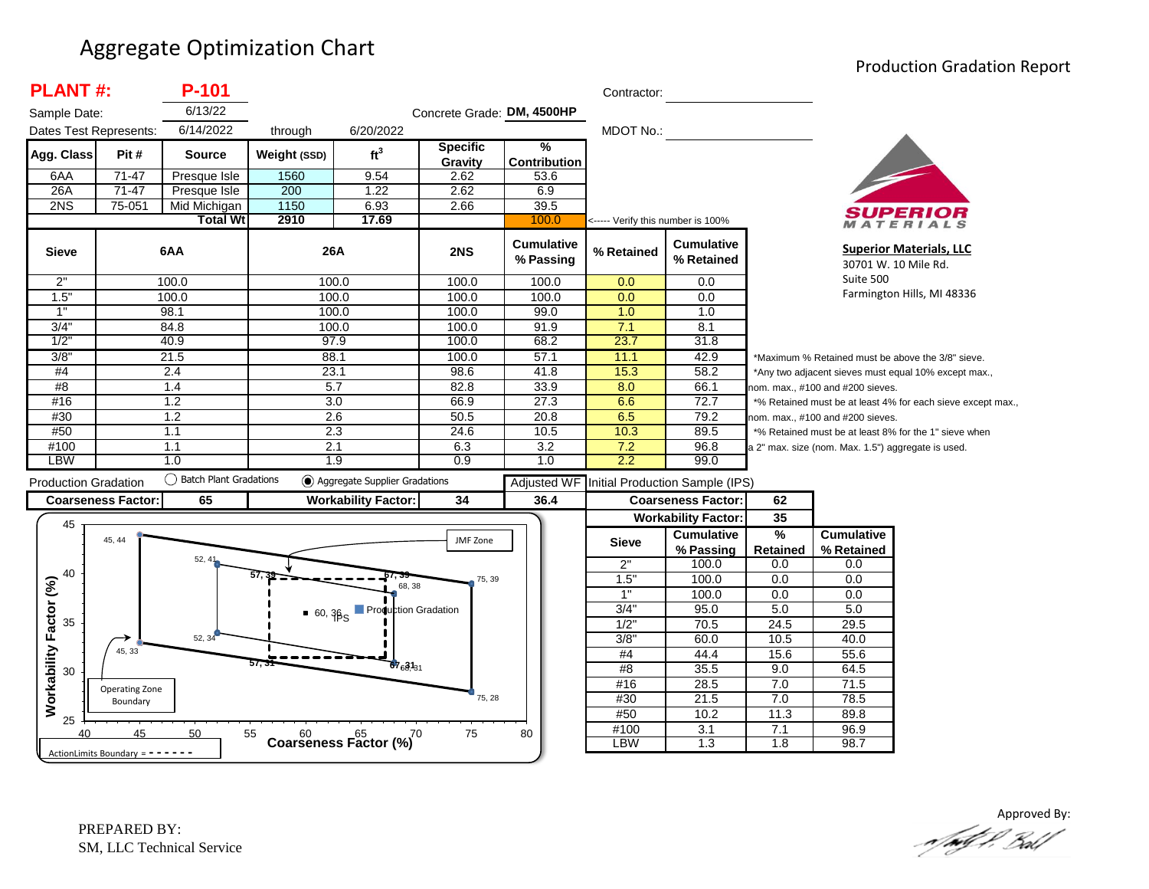#### Aggregate Optimization Chart

#### Production Gradation Report

| <b>PLANT#:</b>              |                           | P-101                    |                  |                                                 |                            |                                | Contractor:                       |                                 |                 |                                                    |                                                             |
|-----------------------------|---------------------------|--------------------------|------------------|-------------------------------------------------|----------------------------|--------------------------------|-----------------------------------|---------------------------------|-----------------|----------------------------------------------------|-------------------------------------------------------------|
| Sample Date:                |                           | 6/13/22                  |                  |                                                 | Concrete Grade: DM, 4500HP |                                |                                   |                                 |                 |                                                    |                                                             |
| Dates Test Represents:      |                           | 6/14/2022                | through          | 6/20/2022                                       |                            |                                | <b>MDOT No.:</b>                  |                                 |                 |                                                    |                                                             |
| Agg. Class                  | Pit#                      | <b>Source</b>            | Weight (SSD)     | ft <sup>3</sup>                                 | <b>Specific</b><br>Gravity | %<br><b>Contribution</b>       |                                   |                                 |                 |                                                    |                                                             |
| 6AA                         | $71 - 47$                 | Presque Isle             | 1560             | 9.54                                            | 2.62                       | 53.6                           |                                   |                                 |                 |                                                    |                                                             |
| 26A                         | $71-47$                   | Presque Isle             | 200              | 1.22                                            | 2.62                       | 6.9                            |                                   |                                 |                 |                                                    |                                                             |
| 2NS                         | 75-051                    | Mid Michigan             | 1150             | 6.93                                            | 2.66                       | 39.5                           |                                   |                                 |                 |                                                    | SUPERIOR                                                    |
|                             |                           | <b>Total Wt</b>          | 2910             | 17.69                                           |                            | 100.0                          | <----- Verify this number is 100% |                                 |                 |                                                    | MATERIALS                                                   |
| <b>Sieve</b>                |                           | 6AA                      | 26A              |                                                 | 2NS                        | <b>Cumulative</b><br>% Passing | % Retained                        | <b>Cumulative</b><br>% Retained |                 |                                                    | <b>Superior Materials, LLC</b><br>30701 W. 10 Mile Rd.      |
| 2"                          |                           | 100.0                    | 100.0            |                                                 | 100.0                      | 100.0                          | 0.0                               | 0.0                             |                 | Suite 500                                          |                                                             |
| 1.5"                        |                           | 100.0                    | 100.0            |                                                 | 100.0                      | 100.0                          | 0.0                               | 0.0                             |                 |                                                    | Farmington Hills, MI 48336                                  |
| 1"                          |                           | 98.1                     | 100.0            |                                                 | 100.0                      | 99.0                           | 1.0                               | 1.0                             |                 |                                                    |                                                             |
| 3/4'                        |                           | 84.8                     | 100.0            |                                                 | 100.0                      | 91.9                           | 7.1                               | 8.1                             |                 |                                                    |                                                             |
| 1/2                         |                           | 40.9                     | 97.9             |                                                 | 100.0                      | 68.2                           | 23.7                              | 31.8                            |                 |                                                    |                                                             |
| 3/8"                        |                           | 21.5                     | 88.1             |                                                 | 100.0                      | 57.1                           | 11.1                              | 42.9                            |                 |                                                    | *Maximum % Retained must be above the 3/8" sieve.           |
| #4                          |                           | 2.4                      | 23.1             |                                                 | 98.6                       | 41.8                           | 15.3                              | 58.2                            |                 |                                                    | *Any two adjacent sieves must equal 10% except max.,        |
| #8                          |                           | 1.4                      | 5.7              |                                                 | 82.8                       | 33.9                           | 8.0                               | 66.1                            |                 | nom. max., #100 and #200 sieves.                   |                                                             |
| #16                         |                           | 1.2                      | $\overline{3.0}$ |                                                 | 66.9                       | 27.3                           | 6.6                               | 72.7                            |                 |                                                    | *% Retained must be at least 4% for each sieve except max., |
| #30                         |                           | 1.2                      | 2.6              |                                                 | 50.5                       | 20.8                           | 6.5                               | 79.2                            |                 | nom. max., #100 and #200 sieves.                   |                                                             |
| #50                         |                           | 1.1                      | 2.3              |                                                 | 24.6                       | 10.5                           | 10.3                              | 89.5                            |                 |                                                    | *% Retained must be at least 8% for the 1" sieve when       |
| #100                        |                           | 1.1                      | 2.1              |                                                 | 6.3                        | 3.2                            | 7.2                               | 96.8                            |                 | a 2" max. size (nom. Max. 1.5") aggregate is used. |                                                             |
| LBW                         |                           | 1.0                      | 1.9              |                                                 | 0.9                        | 1.0                            | 2.2                               | 99.0                            |                 |                                                    |                                                             |
| <b>Production Gradation</b> |                           | ◯ Batch Plant Gradations |                  | Aggregate Supplier Gradations                   |                            | <b>Adjusted WF</b>             |                                   | Initial Production Sample (IPS) |                 |                                                    |                                                             |
|                             | <b>Coarseness Factor:</b> | 65                       |                  | <b>Workability Factor:</b>                      | 34                         | 36.4                           |                                   | <b>Coarseness Factor:</b>       | 62              |                                                    |                                                             |
|                             |                           |                          |                  |                                                 |                            |                                |                                   | <b>Workability Factor:</b>      | 35              |                                                    |                                                             |
| 45                          |                           |                          |                  |                                                 |                            |                                |                                   | <b>Cumulative</b>               | $\frac{9}{6}$   | <b>Cumulative</b>                                  |                                                             |
|                             | 45, 44                    |                          |                  |                                                 | JMF Zone                   |                                | <b>Sieve</b>                      | % Passing                       | <b>Retained</b> | % Retained                                         |                                                             |
|                             |                           | 52, 41                   |                  |                                                 |                            |                                | 2"                                | 100.0                           | 0.0             | 0.0                                                |                                                             |
| 40                          |                           |                          |                  |                                                 | 75, 39                     |                                | 1.5"                              | 100.0                           | 0.0             | 0.0                                                |                                                             |
|                             |                           |                          |                  | 68, 38                                          |                            |                                | 1"                                | 100.0                           | 0.0             | 0.0                                                |                                                             |
|                             |                           |                          |                  | ■ 60, 3p <sub>S</sub> Production Gradation      |                            |                                | 3/4'                              | 95.0                            | 5.0             | 5.0                                                |                                                             |
| 35                          |                           |                          |                  |                                                 |                            |                                | $1/2$ "                           | 70.5                            | 24.5            | 29.5                                               |                                                             |
|                             |                           | 52, 34                   |                  |                                                 |                            |                                | $3/8$ "                           | 60.0                            | 10.5            | 40.0                                               |                                                             |
|                             | 45, 33                    |                          |                  |                                                 |                            |                                | #4                                | 44.4                            | 15.6            | 55.6                                               |                                                             |
| 30                          |                           |                          | 57.3             | $67_{6}31_{31}$                                 |                            |                                | #8                                | 35.5                            | 9.0             | 64.5                                               |                                                             |
| Workability Factor (%)      | Operating Zone            |                          |                  |                                                 |                            |                                | #16                               | 28.5                            | 7.0             | 71.5                                               |                                                             |
|                             | Boundary                  |                          |                  |                                                 | 75, 28                     |                                | #30                               | 21.5                            | 7.0             | 78.5                                               |                                                             |
| 25                          |                           |                          |                  |                                                 |                            |                                | #50                               | 10.2                            | 11.3            | 89.8                                               |                                                             |
|                             |                           |                          |                  |                                                 |                            |                                |                                   |                                 |                 |                                                    |                                                             |
| 40                          | 45                        | 50                       | 55               | Coarseness Factor $\binom{60}{6}$ <sup>70</sup> | 75                         | 80                             | #100<br><b>LBW</b>                | 3.1<br>1.3                      | 7.1<br>1.8      | 96.9<br>98.7                                       |                                                             |

Approved By:<br>Approved By: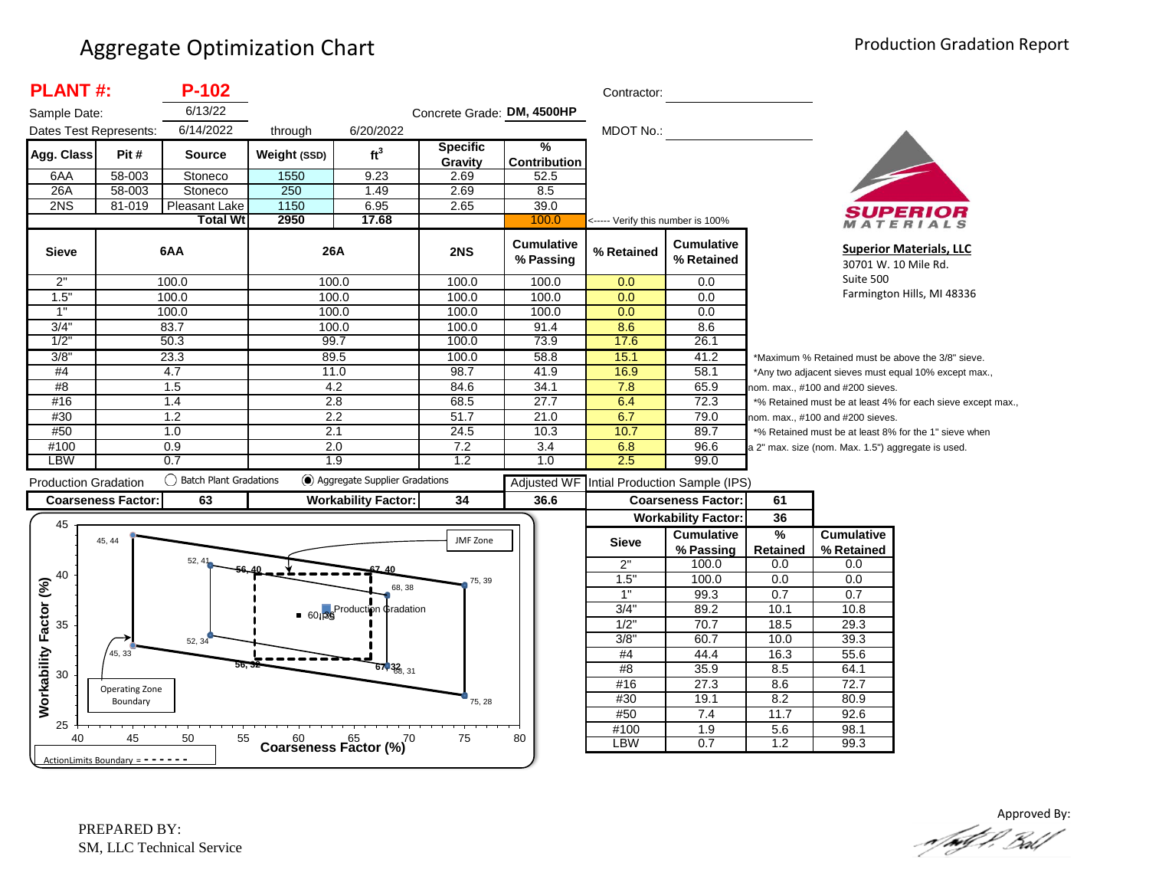| <b>PLANT#:</b>                                           |                            | $P-102$                   |                  |                                    |                            |                                      | Contractor:                       |                                                              |                                 |                                                    |                                                             |
|----------------------------------------------------------|----------------------------|---------------------------|------------------|------------------------------------|----------------------------|--------------------------------------|-----------------------------------|--------------------------------------------------------------|---------------------------------|----------------------------------------------------|-------------------------------------------------------------|
| Sample Date:                                             |                            | 6/13/22                   |                  |                                    | Concrete Grade: DM, 4500HP |                                      |                                   |                                                              |                                 |                                                    |                                                             |
| Dates Test Represents:                                   |                            | 6/14/2022                 | through          | 6/20/2022                          |                            |                                      | MDOT No.:                         |                                                              |                                 |                                                    |                                                             |
| Agg. Class                                               | Pit#                       | <b>Source</b>             | Weight (SSD)     | ft <sup>3</sup>                    | Specific<br>Gravity        | $\frac{9}{6}$<br><b>Contribution</b> |                                   |                                                              |                                 |                                                    |                                                             |
| 6AA                                                      | 58-003                     | Stoneco                   | 1550             | 9.23                               | 2.69                       | 52.5                                 |                                   |                                                              |                                 |                                                    |                                                             |
| 26A                                                      | 58-003                     | Stoneco                   | 250              | 1.49                               | 2.69                       | 8.5                                  |                                   |                                                              |                                 |                                                    |                                                             |
| 2NS                                                      | 81-019                     | Pleasant Lake             | 1150             | 6.95                               | 2.65                       | 39.0                                 |                                   |                                                              |                                 |                                                    |                                                             |
|                                                          |                            | <b>Total Wt</b>           | 2950             | 17.68                              |                            | 100.0                                | <----- Verify this number is 100% |                                                              |                                 |                                                    | ATERIALS                                                    |
| <b>Sieve</b>                                             |                            | 6AA                       | 26A              |                                    | 2NS                        | <b>Cumulative</b><br>% Passing       | % Retained                        | <b>Cumulative</b><br>% Retained                              |                                 | 30701 W. 10 Mile Rd.                               | <b>Superior Materials, LLC</b>                              |
| 2"                                                       |                            | 100.0                     | 100.0            |                                    | 100.0                      | 100.0                                | 0.0                               | 0.0                                                          |                                 | Suite 500                                          |                                                             |
| 1.5"                                                     |                            | 100.0                     | 100.0            |                                    | 100.0                      | 100.0                                | 0.0                               | 0.0                                                          |                                 |                                                    | Farmington Hills, MI 48336                                  |
| 1"                                                       |                            | 100.0                     | 100.0            |                                    | 100.0                      | 100.0                                | 0.0                               | 0.0                                                          |                                 |                                                    |                                                             |
| 3/4"                                                     |                            | 83.7                      | 100.0            |                                    | 100.0                      | 91.4                                 | 8.6                               | 8.6                                                          |                                 |                                                    |                                                             |
| 1/2"                                                     |                            | 50.3                      | 99.7             |                                    | 100.0                      | 73.9                                 | 17.6                              | 26.1                                                         |                                 |                                                    |                                                             |
| 3/8"                                                     |                            | 23.3                      | 89.5             |                                    | 100.0                      | 58.8                                 | 15.1                              | 41.2                                                         |                                 |                                                    | *Maximum % Retained must be above the 3/8" sieve.           |
| #4                                                       |                            | 4.7                       | 11.0             |                                    | 98.7                       | 41.9                                 | 16.9                              | 58.1                                                         |                                 |                                                    | *Any two adjacent sieves must equal 10% except max.,        |
| #8                                                       |                            | 1.5                       | 4.2              |                                    | 84.6                       | 34.1                                 | 7.8                               | 65.9                                                         |                                 | nom. max., #100 and #200 sieves.                   |                                                             |
| #16                                                      |                            | 1.4                       | $\overline{2.8}$ |                                    | 68.5                       | 27.7                                 | 6.4                               | 72.3                                                         |                                 |                                                    | *% Retained must be at least 4% for each sieve except max., |
| #30                                                      |                            | 1.2                       | 2.2              |                                    | 51.7                       | 21.0                                 | 6.7                               | 79.0                                                         |                                 | nom. max., #100 and #200 sieves.                   |                                                             |
| #50                                                      |                            | 1.0                       | 2.1              |                                    | 24.5                       | 10.3                                 | 10.7                              | 89.7                                                         |                                 |                                                    | *% Retained must be at least 8% for the 1" sieve when       |
| #100                                                     |                            | 0.9                       | 2.0              |                                    | 7.2                        | 3.4                                  | 6.8                               | 96.6                                                         |                                 | a 2" max. size (nom. Max. 1.5") aggregate is used. |                                                             |
|                                                          |                            | 0.7                       | 1.9              |                                    | 1.2                        | 1.0                                  | 2.5                               | 99.0                                                         |                                 |                                                    |                                                             |
| <b>LBW</b>                                               |                            |                           |                  |                                    |                            |                                      |                                   |                                                              |                                 |                                                    |                                                             |
|                                                          |                            | () Batch Plant Gradations |                  | Aggregate Supplier Gradations      |                            |                                      |                                   |                                                              |                                 |                                                    |                                                             |
|                                                          |                            |                           |                  |                                    |                            | <b>Adjusted WF</b>                   |                                   | Intial Production Sample (IPS)                               |                                 |                                                    |                                                             |
| <b>Production Gradation</b><br><b>Coarseness Factor:</b> |                            | 63                        |                  | <b>Workability Factor:</b>         | 34                         | 36.6                                 |                                   | <b>Coarseness Factor:</b>                                    | 61                              |                                                    |                                                             |
| 45                                                       | 45, 44                     |                           |                  |                                    | JMF Zone                   |                                      | <b>Sieve</b>                      | <b>Workability Factor:</b><br><b>Cumulative</b><br>% Passing | 36<br>$\frac{9}{6}$<br>Retained | <b>Cumulative</b><br>% Retained                    |                                                             |
|                                                          |                            | 52.41                     |                  |                                    |                            |                                      | 2"                                | 100.0                                                        | 0.0                             | 0.0                                                |                                                             |
| 40                                                       |                            |                           |                  |                                    | 75, 39                     |                                      | 1.5'                              | 100.0                                                        | 0.0                             | 0.0                                                |                                                             |
|                                                          |                            |                           |                  | 68.38                              |                            |                                      | 1"                                | 99.3                                                         | 0.7                             | 0.7                                                |                                                             |
|                                                          |                            |                           |                  |                                    |                            |                                      | 3/4"                              | 89.2                                                         | 10.1                            | 10.8                                               |                                                             |
| 35                                                       |                            |                           |                  | ■ 60186 Production ¢radation       |                            |                                      | $1/2$ "                           | 70.7                                                         | 18.5                            | 29.3                                               |                                                             |
|                                                          |                            | 52, 34                    |                  |                                    |                            |                                      | 3/8                               | 60.7                                                         | 10.0                            | 39.3                                               |                                                             |
|                                                          | 45, 33                     |                           |                  |                                    |                            |                                      | #4                                | 44.4                                                         | 16.3                            | 55.6                                               |                                                             |
|                                                          |                            | 56.                       |                  | $67,38$ <sub>8, 31</sub>           |                            |                                      | #8                                | 35.9                                                         | 8.5                             | 64.1                                               |                                                             |
| 30                                                       |                            |                           |                  |                                    |                            |                                      | #16                               | 27.3                                                         | 8.6                             | 72.7                                               |                                                             |
|                                                          | Operating Zone<br>Boundary |                           |                  |                                    | 75, 28                     |                                      | #30                               | 19.1                                                         | 8.2                             | 80.9                                               |                                                             |
| Workability Factor (%)                                   |                            |                           |                  |                                    |                            |                                      | #50                               | 7.4                                                          | 11.7                            | 92.6                                               |                                                             |
| 25<br>40                                                 | 45                         | 50<br>55                  |                  | $60$ $65$ $65$ $(%)$ <sup>70</sup> | 75                         | 80                                   | #100<br>LBW                       | 1.9<br>0.7                                                   | 5.6<br>1.2                      | 98.1<br>99.3                                       |                                                             |

Approved By: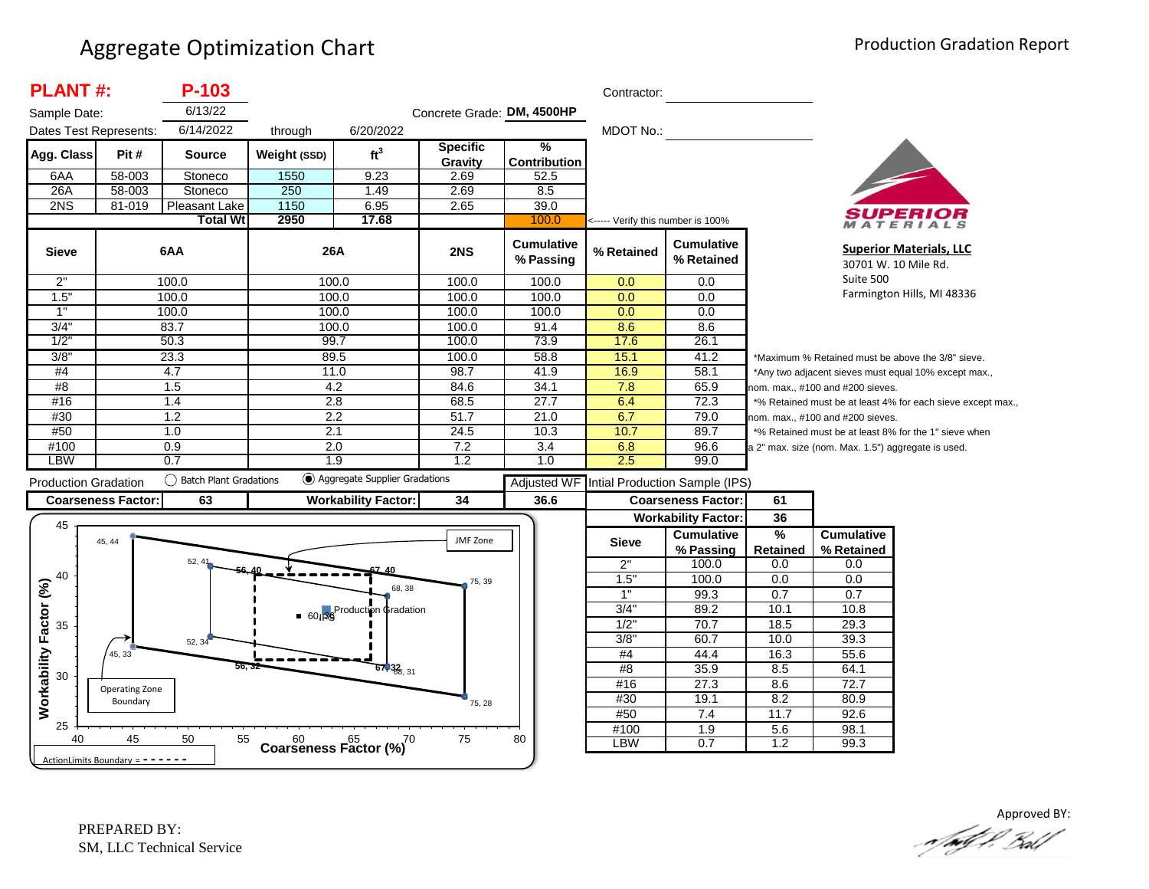| <b>PLANT#:</b>               |                                   | P-103                     |              |                                          |                            |                                | Contractor:                       |                                            |                  |                                                    |                                                             |
|------------------------------|-----------------------------------|---------------------------|--------------|------------------------------------------|----------------------------|--------------------------------|-----------------------------------|--------------------------------------------|------------------|----------------------------------------------------|-------------------------------------------------------------|
| Sample Date:                 |                                   | 6/13/22                   |              |                                          | Concrete Grade: DM, 4500HP |                                |                                   |                                            |                  |                                                    |                                                             |
| Dates Test Represents:       |                                   | 6/14/2022                 | through      | 6/20/2022                                |                            |                                | <b>MDOT No.:</b>                  |                                            |                  |                                                    |                                                             |
| Agg. Class                   | Pit #                             | Source                    | Weight (SSD) | ft <sup>3</sup>                          | <b>Specific</b><br>Gravity | ℅<br><b>Contribution</b>       |                                   |                                            |                  |                                                    |                                                             |
| 6AA                          | 58-003                            | Stoneco                   | 1550         | 9.23                                     | 2.69                       | 52.5                           |                                   |                                            |                  |                                                    |                                                             |
| 26A                          | 58-003                            | Stoneco                   | 250          | 1.49                                     | 2.69                       | 8.5                            |                                   |                                            |                  |                                                    |                                                             |
| 2NS                          | 81-019                            | Pleasant Lake             | 1150         | 6.95                                     | 2.65                       | 39.0                           |                                   |                                            |                  |                                                    |                                                             |
|                              |                                   | <b>Total Wt</b>           | 2950         | 17.68                                    |                            | 100.0                          | <----- Verify this number is 100% |                                            |                  |                                                    | MATERIALS                                                   |
| <b>Sieve</b>                 |                                   | 6AA                       | 26A          |                                          | 2NS                        | <b>Cumulative</b><br>% Passing | % Retained                        | <b>Cumulative</b><br>% Retained            |                  |                                                    | <b>Superior Materials, LLC</b><br>30701 W. 10 Mile Rd.      |
| 2"                           |                                   | 100.0                     |              | 100.0                                    | 100.0                      | 100.0                          | 0.0                               | 0.0                                        |                  | Suite 500                                          |                                                             |
| 1.5"                         |                                   | 100.0                     | 100.0        |                                          | 100.0                      | 100.0                          | 0.0                               | 0.0                                        |                  |                                                    | Farmington Hills, MI 48336                                  |
| 1"                           |                                   | 100.0                     |              | 100.0                                    | 100.0                      | 100.0                          | 0.0                               | 0.0                                        |                  |                                                    |                                                             |
| 3/4"                         |                                   | 83.7                      | 100.0        |                                          | 100.0                      | 91.4                           | 8.6                               | 8.6                                        |                  |                                                    |                                                             |
| $1/2$ '                      |                                   | 50.3                      | 99.7         |                                          | 100.0                      | 73.9                           | 17.6                              | 26.1                                       |                  |                                                    |                                                             |
| 3/8"                         |                                   | 23.3                      | 89.5         |                                          | 100.0                      | 58.8                           | 15.1                              | 41.2                                       |                  |                                                    | *Maximum % Retained must be above the 3/8" sieve.           |
| #4                           |                                   | 4.7                       | 11.0         |                                          | 98.7                       | 41.9                           | 16.9                              | 58.1                                       |                  |                                                    | *Any two adjacent sieves must equal 10% except max.,        |
| #8                           |                                   | 1.5                       | 4.2          |                                          | 84.6                       | 34.1                           | 7.8                               | 65.9                                       |                  | nom. max., #100 and #200 sieves.                   |                                                             |
| #16                          |                                   | 1.4                       | 2.8          |                                          | 68.5                       | 27.7                           | 6.4                               | 72.3                                       |                  |                                                    | *% Retained must be at least 4% for each sieve except max., |
| #30<br>#50                   |                                   | 1.2<br>1.0                | 2.2<br>2.1   |                                          | 51.7<br>24.5               | 21.0<br>10.3                   | 6.7<br>10.7                       | 79.0<br>89.7                               |                  | nom. max., #100 and #200 sieves.                   |                                                             |
| #100                         |                                   | 0.9                       | 2.0          |                                          | 7.2                        | 3.4                            | 6.8                               | 96.6                                       |                  |                                                    | *% Retained must be at least 8% for the 1" sieve when       |
| LBW                          |                                   | 0.7                       |              | 1.9                                      | 1.2                        | 1.0                            | 2.5                               | 99.0                                       |                  | a 2" max. size (nom. Max. 1.5") aggregate is used. |                                                             |
| <b>Production Gradation</b>  |                                   | () Batch Plant Gradations |              | Aggregate Supplier Gradations            |                            |                                |                                   | Adjusted WF Intial Production Sample (IPS) |                  |                                                    |                                                             |
|                              | <b>Coarseness Factor:</b>         | 63                        |              | <b>Workability Factor:</b>               | 34                         | 36.6                           |                                   | <b>Coarseness Factor:</b>                  | 61               |                                                    |                                                             |
|                              |                                   |                           |              |                                          |                            |                                |                                   | <b>Workability Factor:</b>                 | 36               |                                                    |                                                             |
| 45                           |                                   |                           |              |                                          |                            |                                |                                   | <b>Cumulative</b>                          | $\frac{9}{6}$    | <b>Cumulative</b>                                  |                                                             |
|                              | 45, 44                            |                           |              |                                          | JMF Zone                   |                                | <b>Sieve</b>                      | % Passing                                  | Retained         | % Retained                                         |                                                             |
|                              |                                   | 52, 41                    |              |                                          |                            |                                | 2"                                | 100.0                                      | 0.0              | 0.0                                                |                                                             |
| 40                           |                                   |                           |              |                                          | 75, 39                     |                                | 1.5"                              | 100.0                                      | 0.0              | 0.0                                                |                                                             |
|                              |                                   |                           |              | 68, 38                                   |                            |                                | 1"                                | 99.3                                       | 0.7              | 0.7                                                |                                                             |
|                              |                                   |                           |              | ■ 601 <sup>88</sup> Production ¢radation |                            |                                | 3/4"                              | 89.2                                       | 10.1             | 10.8                                               |                                                             |
| 35                           |                                   |                           |              |                                          |                            |                                | $1/2$ "                           | 70.7                                       | 18.5             | 29.3                                               |                                                             |
|                              |                                   | 52, 34                    |              |                                          |                            |                                | 3/8"                              | 60.7                                       | 10.0             | 39.3                                               |                                                             |
|                              | 45, 33                            |                           |              |                                          |                            |                                | #4                                | 44.4                                       | 16.3             | 55.6                                               |                                                             |
| Workability Factor (%)<br>30 |                                   |                           |              | $67,33$ <sub>6, 31</sub>                 |                            |                                | #8                                | 35.9                                       | 8.5              | 64.1                                               |                                                             |
|                              | Operating Zone                    |                           |              |                                          |                            |                                | #16                               | 27.3                                       | 8.6              | 72.7                                               |                                                             |
|                              | Boundary                          |                           |              |                                          | 75, 28                     |                                | #30                               | 19.1                                       | 8.2              | 80.9                                               |                                                             |
|                              |                                   |                           |              |                                          |                            |                                | #50                               | 7.4                                        | 11.7             | 92.6                                               |                                                             |
| 25<br>40                     | 45                                | 55<br>50                  |              |                                          | 75                         | 80                             | #100                              | $\overline{1.9}$                           | 5.6              | 98.1                                               |                                                             |
|                              |                                   |                           |              | $60$ $65$ $70$<br>Coarseness Factor (%)  |                            |                                | LBW                               | 0.7                                        | $\overline{1.2}$ | 99.3                                               |                                                             |
|                              | ActionLimits Boundary = - - - - - |                           |              |                                          |                            |                                |                                   |                                            |                  |                                                    |                                                             |

Approved BY:<br>And P. Ball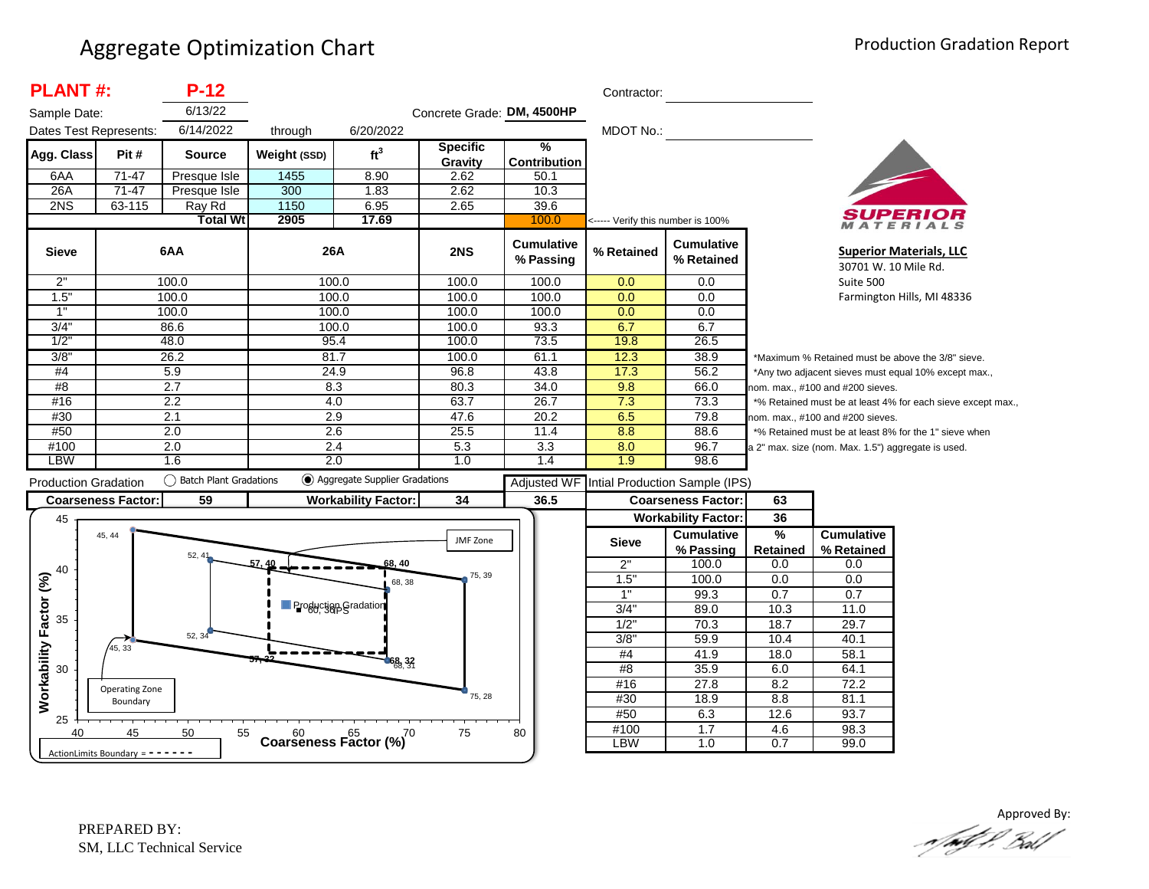| <b>PLANT#:</b>              |                            | $P-12$                 |                             |                               |                            |                                      | Contractor:                       |                                 |                      |                                                    |                                                             |
|-----------------------------|----------------------------|------------------------|-----------------------------|-------------------------------|----------------------------|--------------------------------------|-----------------------------------|---------------------------------|----------------------|----------------------------------------------------|-------------------------------------------------------------|
| Sample Date:                |                            | 6/13/22                |                             |                               | Concrete Grade: DM, 4500HP |                                      |                                   |                                 |                      |                                                    |                                                             |
| Dates Test Represents:      |                            | 6/14/2022              | through                     | 6/20/2022                     |                            |                                      | <b>MDOT No.:</b>                  |                                 |                      |                                                    |                                                             |
| Agg. Class                  | Pit#                       | <b>Source</b>          | Weight (SSD)                | ft <sup>3</sup>               | <b>Specific</b><br>Gravity | $\frac{9}{6}$<br><b>Contribution</b> |                                   |                                 |                      |                                                    |                                                             |
| 6AA                         | $71 - 47$                  | Presque Isle           | 1455                        | 8.90                          | 2.62                       | 50.1                                 |                                   |                                 |                      |                                                    |                                                             |
| 26A                         | $71-47$                    | Presque Isle           | 300                         | 1.83                          | 2.62                       | 10.3                                 |                                   |                                 |                      |                                                    |                                                             |
| 2NS                         | 63-115                     | Ray Rd                 | 1150                        | 6.95                          | 2.65                       | 39.6                                 |                                   |                                 |                      |                                                    |                                                             |
|                             |                            | <b>Total Wt</b>        | 2905                        | 17.69                         |                            | 100.0                                | <----- Verify this number is 100% |                                 |                      |                                                    | MATERIALS                                                   |
| <b>Sieve</b>                |                            | 6AA                    | 26A                         |                               | 2NS                        | <b>Cumulative</b><br>% Passing       | % Retained                        | <b>Cumulative</b><br>% Retained |                      | 30701 W. 10 Mile Rd.                               | <b>Superior Materials, LLC</b>                              |
| 2"                          |                            | 100.0                  | 100.0                       |                               | 100.0                      | 100.0                                | 0.0                               | 0.0                             |                      | Suite 500                                          |                                                             |
| 1.5"                        |                            | 100.0                  | 100.0                       |                               | 100.0                      | 100.0                                | 0.0                               | 0.0                             |                      |                                                    | Farmington Hills, MI 48336                                  |
| 1"                          |                            | 100.0                  | 100.0                       |                               | 100.0                      | 100.0                                | 0.0                               | 0.0                             |                      |                                                    |                                                             |
| 3/4"                        |                            | 86.6                   | 100.0                       |                               | 100.0                      | 93.3                                 | 6.7                               | 6.7                             |                      |                                                    |                                                             |
| 1/2"                        |                            | 48.0                   | 95.4                        |                               | 100.0                      | 73.5                                 | 19.8                              | 26.5                            |                      |                                                    |                                                             |
| 3/8"                        |                            | 26.2                   | 81.7                        |                               | 100.0                      | 61.1                                 | 12.3                              | 38.9                            |                      |                                                    | *Maximum % Retained must be above the 3/8" sieve.           |
| #4                          |                            | 5.9                    | 24.9                        |                               | 96.8                       | 43.8                                 | 17.3                              | 56.2                            |                      |                                                    | *Any two adjacent sieves must equal 10% except max.,        |
| #8                          |                            | 2.7                    | 8.3                         |                               | 80.3                       | 34.0                                 | 9.8                               | 66.0                            |                      | iom. max., #100 and #200 sieves.                   |                                                             |
| #16                         |                            | 2.2                    | 4.0                         |                               | 63.7                       | 26.7                                 | 7.3                               | 73.3                            |                      |                                                    | *% Retained must be at least 4% for each sieve except max., |
| #30                         |                            | 2.1                    | 2.9                         |                               | 47.6                       | 20.2                                 | 6.5                               | 79.8                            |                      | nom. max., #100 and #200 sieves.                   |                                                             |
| #50                         |                            | $\overline{2.0}$       | 2.6                         |                               | 25.5                       | 11.4                                 | 8.8                               | 88.6                            |                      |                                                    | *% Retained must be at least 8% for the 1" sieve when       |
| #100<br>LBW                 |                            | 2.0<br>1.6             | 2.4                         | 2.0                           | 5.3<br>1.0                 | 3.3<br>1.4                           | 8.0<br>1.9                        | 96.7<br>98.6                    |                      | a 2" max. size (nom. Max. 1.5") aggregate is used. |                                                             |
| <b>Production Gradation</b> |                            | Batch Plant Gradations |                             | Aggregate Supplier Gradations |                            | <b>Adjusted WF</b>                   |                                   | Intial Production Sample (IPS)  |                      |                                                    |                                                             |
|                             | <b>Coarseness Factor:</b>  | 59                     |                             | <b>Workability Factor:</b>    | 34                         | 36.5                                 |                                   | <b>Coarseness Factor:</b>       | 63                   |                                                    |                                                             |
| 45                          |                            |                        |                             |                               |                            |                                      |                                   | <b>Workability Factor:</b>      | 36                   |                                                    |                                                             |
|                             | 45, 44                     |                        |                             |                               | JMF Zone                   |                                      | <b>Sieve</b>                      | <b>Cumulative</b><br>% Passing  | %<br><b>Retained</b> | <b>Cumulative</b><br>% Retained                    |                                                             |
|                             |                            | 52, 41                 | 57.40                       | 68, 40                        |                            |                                      | 2"                                | 100.0                           | 0.0                  | 0.0                                                |                                                             |
| 40                          |                            |                        |                             | 68, 38                        | 75, 39                     |                                      | 1.5"                              | 100.0                           | 0.0                  | 0.0                                                |                                                             |
|                             |                            |                        |                             |                               |                            |                                      | 1"                                | 99.3                            | 0.7                  | 0.7                                                |                                                             |
|                             |                            |                        | <b>Production Gradation</b> |                               |                            |                                      | 3/4'                              | 89.0                            | 10.3                 | 11.0                                               |                                                             |
| 35                          |                            |                        |                             |                               |                            |                                      | $1/2$ "                           | 70.3                            | 18.7                 | 29.7                                               |                                                             |
|                             |                            | 52, 34                 |                             |                               |                            |                                      | 3/8"                              | 59.9                            | 10.4                 | 40.1                                               |                                                             |
|                             |                            |                        |                             |                               |                            |                                      | #4                                | 41.9                            | 18.0                 | 58.1                                               |                                                             |
|                             | 45, 33                     |                        |                             |                               |                            |                                      |                                   |                                 |                      |                                                    |                                                             |
| 30                          |                            |                        |                             | 68,32                         |                            |                                      | #8                                | 35.9                            | 6.0                  | 64.1                                               |                                                             |
|                             |                            |                        |                             |                               |                            |                                      | #16                               | 27.8                            | 8.2                  | 72.2                                               |                                                             |
|                             | Operating Zone<br>Boundary |                        |                             |                               | 75, 28                     |                                      | #30                               | 18.9                            | 8.8                  | 81.1                                               |                                                             |
| Workability Factor (%)      |                            |                        |                             |                               |                            |                                      | #50                               | 6.3                             | 12.6                 | 93.7                                               |                                                             |
| 25<br>40                    | 45                         | 50<br>55               |                             | Coarseness Factor $(%)^{70}$  | 75                         | 80                                   | #100<br><b>LBW</b>                | 1.7<br>1.0                      | 4.6<br>0.7           | 98.3<br>99.0                                       |                                                             |



Approved By: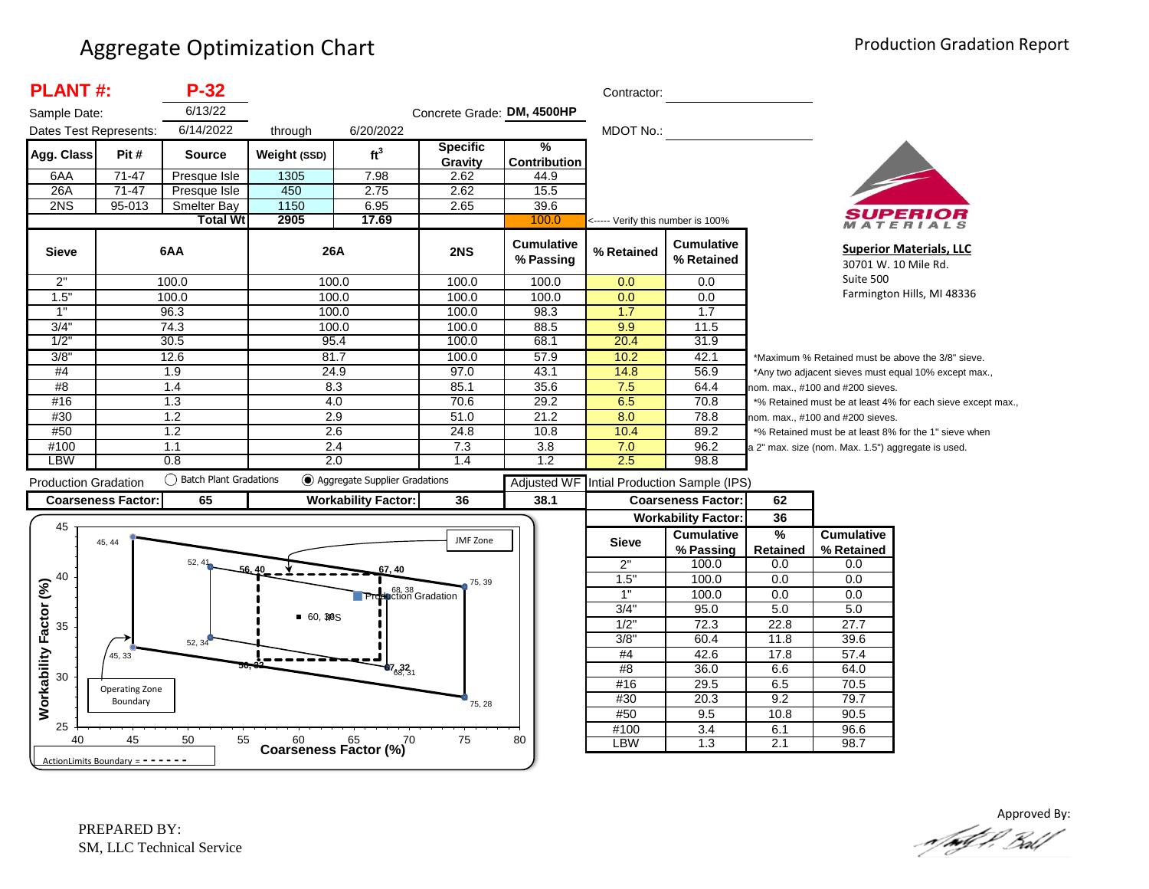| <b>PLANT#:</b>               |                                   | $P-32$                 |              |                                      |                            |                                | Contractor:                       |                                            |               |                                                    |                                                             |
|------------------------------|-----------------------------------|------------------------|--------------|--------------------------------------|----------------------------|--------------------------------|-----------------------------------|--------------------------------------------|---------------|----------------------------------------------------|-------------------------------------------------------------|
| Sample Date:                 |                                   | 6/13/22                |              |                                      | Concrete Grade: DM, 4500HP |                                |                                   |                                            |               |                                                    |                                                             |
| Dates Test Represents:       |                                   | 6/14/2022              | through      | 6/20/2022                            |                            |                                | MDOT No.:                         |                                            |               |                                                    |                                                             |
| Agg. Class                   | Pit#                              | <b>Source</b>          | Weight (SSD) | ft <sup>3</sup>                      | <b>Specific</b><br>Gravity | %<br><b>Contribution</b>       |                                   |                                            |               |                                                    |                                                             |
| 6AA                          | $71-47$                           | Presque Isle           | 1305         | 7.98                                 | 2.62                       | 44.9                           |                                   |                                            |               |                                                    |                                                             |
| 26A                          | $71-47$                           | Presque Isle           | 450          | 2.75                                 | 2.62                       | 15.5                           |                                   |                                            |               |                                                    |                                                             |
| 2NS                          | 95-013                            | <b>Smelter Bay</b>     | 1150         | 6.95                                 | 2.65                       | 39.6                           |                                   |                                            |               |                                                    |                                                             |
|                              |                                   | <b>Total Wt</b>        | 2905         | 17.69                                |                            | 100.0                          | <----- Verify this number is 100% |                                            |               |                                                    | ATERIALS                                                    |
| <b>Sieve</b>                 |                                   | 6AA                    | 26A          |                                      | 2NS                        | <b>Cumulative</b><br>% Passing | % Retained                        | <b>Cumulative</b><br>% Retained            |               |                                                    | <b>Superior Materials, LLC</b><br>30701 W. 10 Mile Rd.      |
| 2"                           |                                   | 100.0                  |              | 100.0                                | 100.0                      | 100.0                          | 0.0                               | 0.0                                        |               | Suite 500                                          |                                                             |
| 1.5"                         |                                   | 100.0                  |              | 100.0                                | 100.0                      | 100.0                          | 0.0                               | 0.0                                        |               |                                                    | Farmington Hills, MI 48336                                  |
| 1"                           |                                   | 96.3                   |              | 100.0                                | 100.0                      | 98.3                           | 1.7                               | $\overline{1.7}$                           |               |                                                    |                                                             |
| 3/4"                         |                                   | 74.3                   | 100.0        |                                      | 100.0                      | 88.5                           | 9.9                               | 11.5                                       |               |                                                    |                                                             |
| 1/2                          |                                   | 30.5                   | 95.4         |                                      | 100.0                      | 68.1                           | 20.4                              | 31.9                                       |               |                                                    |                                                             |
| 3/8"                         |                                   | 12.6                   | 81.7         |                                      | 100.0                      | 57.9                           | 10.2                              | 42.1                                       |               |                                                    | *Maximum % Retained must be above the 3/8" sieve.           |
| #4                           |                                   | 1.9                    |              | 24.9                                 | 97.0                       | 43.1                           | 14.8                              | 56.9                                       |               |                                                    | *Any two adjacent sieves must equal 10% except max.,        |
| #8                           |                                   | 1.4                    | 8.3          |                                      | 85.1                       | 35.6                           | 7.5                               | 64.4                                       |               | nom. max., #100 and #200 sieves.                   |                                                             |
| #16                          |                                   | 1.3                    |              | 4.0                                  | 70.6                       | 29.2                           | 6.5                               | 70.8                                       |               |                                                    | *% Retained must be at least 4% for each sieve except max., |
| #30                          |                                   | 1.2                    |              | 2.9                                  | 51.0                       | 21.2                           | 8.0                               | 78.8                                       |               | nom. max., #100 and #200 sieves.                   |                                                             |
| #50                          |                                   | 1.2                    |              | 2.6                                  | 24.8                       | 10.8                           | 10.4                              | 89.2                                       |               |                                                    | *% Retained must be at least 8% for the 1" sieve when       |
| #100                         |                                   | 1.1                    |              | 2.4                                  | 7.3                        | $\overline{3.8}$               | 7.0                               | 96.2                                       |               | a 2" max. size (nom. Max. 1.5") aggregate is used. |                                                             |
| <b>LBW</b>                   |                                   | 0.8                    |              | 2.0                                  | 1.4                        | 1.2                            | 2.5                               | 98.8                                       |               |                                                    |                                                             |
| <b>Production Gradation</b>  |                                   | Batch Plant Gradations |              | (c) Aggregate Supplier Gradations    |                            |                                |                                   | Adjusted WF Intial Production Sample (IPS) |               |                                                    |                                                             |
|                              | <b>Coarseness Factor:</b>         | 65                     |              | <b>Workability Factor:</b>           | 36                         | 38.1                           |                                   | <b>Coarseness Factor:</b>                  | 62            |                                                    |                                                             |
|                              |                                   |                        |              |                                      |                            |                                |                                   | <b>Workability Factor:</b>                 | 36            |                                                    |                                                             |
| 45                           |                                   |                        |              |                                      |                            |                                |                                   | <b>Cumulative</b>                          | $\frac{9}{6}$ | <b>Cumulative</b>                                  |                                                             |
|                              | 45, 44                            |                        |              |                                      | JMF Zone                   |                                | <b>Sieve</b>                      | % Passing                                  | Retained      | % Retained                                         |                                                             |
|                              |                                   | 52, 41                 |              |                                      |                            |                                | 2"                                | 100.0                                      | 0.0           | 0.0                                                |                                                             |
| 40                           |                                   |                        |              | 57, 40                               | 75, 39                     |                                | 1.5'                              | 100.0                                      | 0.0           | 0.0                                                |                                                             |
|                              |                                   |                        |              | <b>Production Gradation</b>          |                            |                                | 1"                                | 100.0                                      | 0.0           | 0.0                                                |                                                             |
|                              |                                   |                        |              |                                      |                            |                                | 3/4"                              | 95.0                                       | 5.0           | 5.0                                                |                                                             |
| 35                           |                                   |                        | $-60,3B$ S   |                                      |                            |                                | 1/2"                              | 72.3                                       | 22.8          | 27.7                                               |                                                             |
|                              |                                   | 52, 34                 |              |                                      |                            |                                | 3/8"                              | 60.4                                       | 11.8          | 39.6                                               |                                                             |
|                              | 45, 33                            |                        |              |                                      |                            |                                | #4                                | 42.6                                       | 17.8          | 57.4                                               |                                                             |
| Workability Factor (%)<br>30 |                                   |                        |              | $67_{68,31}$                         |                            |                                | #8                                | 36.0                                       | 6.6           | 64.0                                               |                                                             |
|                              | Operating Zone                    |                        |              |                                      |                            |                                | #16                               | 29.5                                       | 6.5           | 70.5                                               |                                                             |
|                              | Boundary                          |                        |              |                                      | 75, 28                     |                                | #30                               | 20.3                                       | 9.2           | 79.7                                               |                                                             |
|                              |                                   |                        |              |                                      |                            |                                | #50                               | 9.5                                        | 10.8          | 90.5                                               |                                                             |
| 25                           |                                   |                        |              |                                      |                            |                                | #100                              | $\overline{3.4}$                           | 6.1           | 96.6                                               |                                                             |
| 40                           | 45                                | 50<br>55               |              | Coarseness Factor $\binom{60}{6}$ 70 | 75                         | 80                             | <b>LBW</b>                        | 1.3                                        | 2.1           | 98.7                                               |                                                             |
|                              | ActionLimits Boundary = - - - - - |                        |              |                                      |                            |                                |                                   |                                            |               |                                                    |                                                             |

Approved By: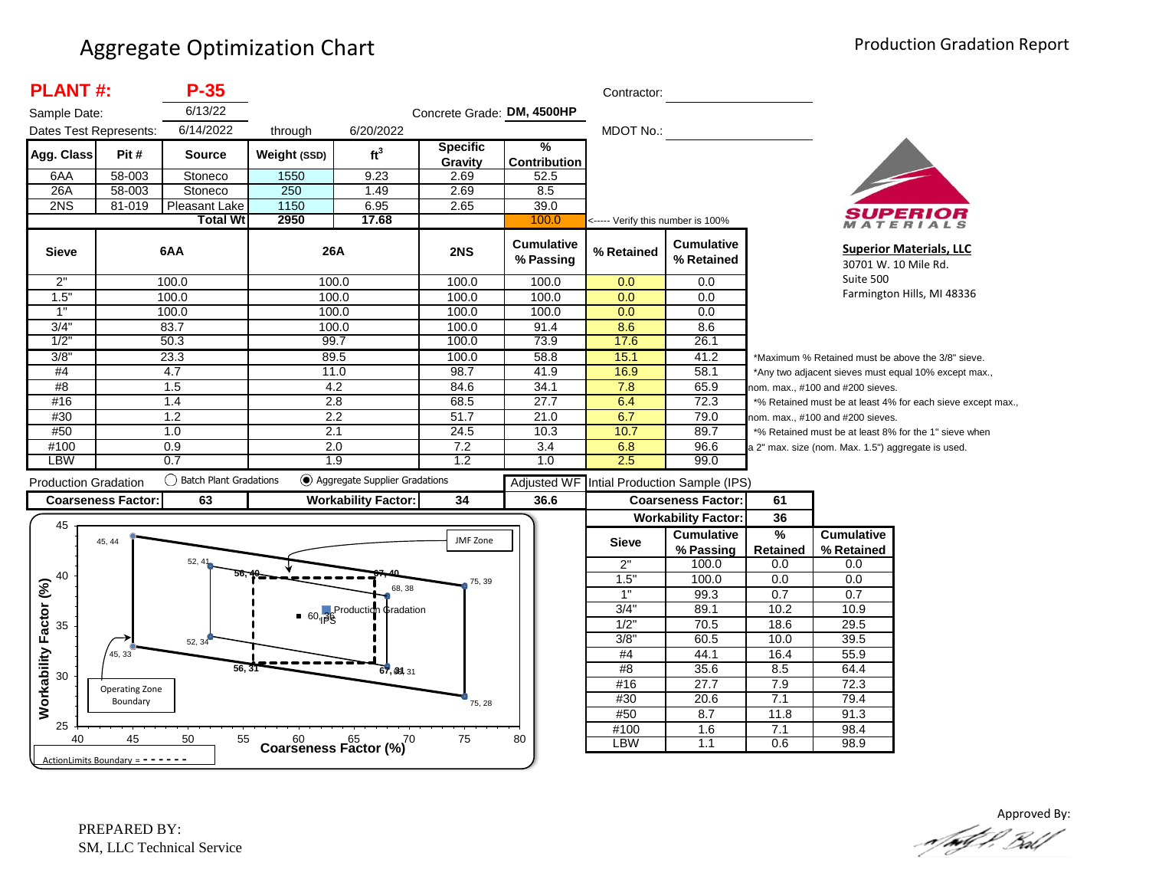| <b>PLANT#:</b>              | $P-35$                 |                                                                                                                                                   |                                              |                                                                                                                                                            |                                                                                                                                       | Contractor:                                                       |                                                       |                                                                                                                                   |                                                   |                                                                                                                                                                                                                                                                                                                                                                                      |
|-----------------------------|------------------------|---------------------------------------------------------------------------------------------------------------------------------------------------|----------------------------------------------|------------------------------------------------------------------------------------------------------------------------------------------------------------|---------------------------------------------------------------------------------------------------------------------------------------|-------------------------------------------------------------------|-------------------------------------------------------|-----------------------------------------------------------------------------------------------------------------------------------|---------------------------------------------------|--------------------------------------------------------------------------------------------------------------------------------------------------------------------------------------------------------------------------------------------------------------------------------------------------------------------------------------------------------------------------------------|
| Sample Date:                | 6/13/22                |                                                                                                                                                   |                                              |                                                                                                                                                            |                                                                                                                                       |                                                                   |                                                       |                                                                                                                                   |                                                   |                                                                                                                                                                                                                                                                                                                                                                                      |
|                             |                        |                                                                                                                                                   | 6/20/2022                                    |                                                                                                                                                            |                                                                                                                                       |                                                                   |                                                       |                                                                                                                                   |                                                   |                                                                                                                                                                                                                                                                                                                                                                                      |
| Pit #                       | <b>Source</b>          | Weight (SSD)                                                                                                                                      | ft <sup>3</sup>                              | <b>Specific</b><br>Gravity                                                                                                                                 | %<br><b>Contribution</b>                                                                                                              |                                                                   |                                                       |                                                                                                                                   |                                                   |                                                                                                                                                                                                                                                                                                                                                                                      |
| 58-003                      | Stoneco                | 1550                                                                                                                                              | 9.23                                         | 2.69                                                                                                                                                       | 52.5                                                                                                                                  |                                                                   |                                                       |                                                                                                                                   |                                                   |                                                                                                                                                                                                                                                                                                                                                                                      |
| 58-003                      | Stoneco                | 250                                                                                                                                               | 1.49                                         | 2.69                                                                                                                                                       | 8.5                                                                                                                                   |                                                                   |                                                       |                                                                                                                                   |                                                   |                                                                                                                                                                                                                                                                                                                                                                                      |
| 81-019                      | Pleasant Lake          | 1150                                                                                                                                              | 6.95                                         | 2.65                                                                                                                                                       | 39.0                                                                                                                                  |                                                                   |                                                       |                                                                                                                                   |                                                   |                                                                                                                                                                                                                                                                                                                                                                                      |
|                             |                        |                                                                                                                                                   |                                              |                                                                                                                                                            |                                                                                                                                       |                                                                   |                                                       |                                                                                                                                   |                                                   | ATERIALS                                                                                                                                                                                                                                                                                                                                                                             |
|                             |                        |                                                                                                                                                   |                                              | 2NS                                                                                                                                                        | <b>Cumulative</b><br>% Passing                                                                                                        | % Retained                                                        | <b>Cumulative</b><br>% Retained                       |                                                                                                                                   | 30701 W. 10 Mile Rd.                              | <b>Superior Materials, LLC</b>                                                                                                                                                                                                                                                                                                                                                       |
|                             |                        |                                                                                                                                                   |                                              | 100.0                                                                                                                                                      | 100.0                                                                                                                                 | 0.0                                                               | 0.0                                                   |                                                                                                                                   | Suite 500                                         |                                                                                                                                                                                                                                                                                                                                                                                      |
|                             |                        |                                                                                                                                                   |                                              | 100.0                                                                                                                                                      | 100.0                                                                                                                                 | 0.0                                                               | 0.0                                                   |                                                                                                                                   |                                                   | Farmington Hills, MI 48336                                                                                                                                                                                                                                                                                                                                                           |
|                             |                        |                                                                                                                                                   |                                              | 100.0                                                                                                                                                      | 100.0                                                                                                                                 | 0.0                                                               | 0.0                                                   |                                                                                                                                   |                                                   |                                                                                                                                                                                                                                                                                                                                                                                      |
|                             |                        |                                                                                                                                                   |                                              |                                                                                                                                                            |                                                                                                                                       |                                                                   | 8.6                                                   |                                                                                                                                   |                                                   |                                                                                                                                                                                                                                                                                                                                                                                      |
|                             |                        |                                                                                                                                                   |                                              | 100.0                                                                                                                                                      | 73.9                                                                                                                                  | 17.6                                                              | 26.1                                                  |                                                                                                                                   |                                                   |                                                                                                                                                                                                                                                                                                                                                                                      |
|                             |                        |                                                                                                                                                   |                                              | 100.0                                                                                                                                                      | 58.8                                                                                                                                  | 15.1                                                              | 41.2                                                  |                                                                                                                                   |                                                   |                                                                                                                                                                                                                                                                                                                                                                                      |
|                             |                        |                                                                                                                                                   |                                              | 98.7                                                                                                                                                       | 41.9                                                                                                                                  |                                                                   | 58.1                                                  |                                                                                                                                   |                                                   |                                                                                                                                                                                                                                                                                                                                                                                      |
|                             |                        |                                                                                                                                                   |                                              | 84.6                                                                                                                                                       | 34.1                                                                                                                                  | 7.8                                                               | 65.9                                                  |                                                                                                                                   |                                                   |                                                                                                                                                                                                                                                                                                                                                                                      |
|                             |                        |                                                                                                                                                   |                                              | 68.5                                                                                                                                                       | 27.7                                                                                                                                  | 6.4                                                               | 72.3                                                  |                                                                                                                                   |                                                   |                                                                                                                                                                                                                                                                                                                                                                                      |
|                             |                        |                                                                                                                                                   |                                              |                                                                                                                                                            | 21.0                                                                                                                                  |                                                                   |                                                       |                                                                                                                                   |                                                   |                                                                                                                                                                                                                                                                                                                                                                                      |
|                             |                        |                                                                                                                                                   |                                              |                                                                                                                                                            |                                                                                                                                       |                                                                   | 89.7                                                  |                                                                                                                                   |                                                   |                                                                                                                                                                                                                                                                                                                                                                                      |
|                             |                        |                                                                                                                                                   |                                              |                                                                                                                                                            |                                                                                                                                       |                                                                   |                                                       |                                                                                                                                   |                                                   |                                                                                                                                                                                                                                                                                                                                                                                      |
|                             |                        |                                                                                                                                                   |                                              |                                                                                                                                                            |                                                                                                                                       |                                                                   |                                                       |                                                                                                                                   |                                                   |                                                                                                                                                                                                                                                                                                                                                                                      |
| <b>Production Gradation</b> |                        |                                                                                                                                                   |                                              |                                                                                                                                                            | <b>Adjusted WF</b>                                                                                                                    |                                                                   |                                                       |                                                                                                                                   |                                                   |                                                                                                                                                                                                                                                                                                                                                                                      |
| <b>Coarseness Factor:</b>   | 63                     |                                                                                                                                                   |                                              | 34                                                                                                                                                         | 36.6                                                                                                                                  |                                                                   |                                                       | 61                                                                                                                                |                                                   |                                                                                                                                                                                                                                                                                                                                                                                      |
|                             |                        |                                                                                                                                                   |                                              |                                                                                                                                                            |                                                                                                                                       |                                                                   |                                                       | 36                                                                                                                                |                                                   |                                                                                                                                                                                                                                                                                                                                                                                      |
| 45, 44                      |                        |                                                                                                                                                   |                                              | JMF Zone                                                                                                                                                   |                                                                                                                                       | <b>Sieve</b>                                                      | <b>Cumulative</b>                                     | $\frac{9}{6}$                                                                                                                     | <b>Cumulative</b>                                 |                                                                                                                                                                                                                                                                                                                                                                                      |
|                             | 52, 41                 |                                                                                                                                                   |                                              |                                                                                                                                                            |                                                                                                                                       | 2"                                                                | 100.0                                                 | 0.0                                                                                                                               |                                                   |                                                                                                                                                                                                                                                                                                                                                                                      |
|                             |                        |                                                                                                                                                   |                                              | 75, 39                                                                                                                                                     |                                                                                                                                       | 1.5"                                                              | 100.0                                                 | 0.0                                                                                                                               | 0.0                                               |                                                                                                                                                                                                                                                                                                                                                                                      |
|                             |                        |                                                                                                                                                   |                                              |                                                                                                                                                            |                                                                                                                                       | 1"                                                                | 99.3                                                  | 0.7                                                                                                                               | 0.7                                               |                                                                                                                                                                                                                                                                                                                                                                                      |
|                             |                        |                                                                                                                                                   |                                              |                                                                                                                                                            |                                                                                                                                       | 3/4"                                                              | 89.1                                                  | 10.2                                                                                                                              | 10.9                                              |                                                                                                                                                                                                                                                                                                                                                                                      |
|                             |                        |                                                                                                                                                   |                                              |                                                                                                                                                            |                                                                                                                                       | 1/2"                                                              | 70.5                                                  | 18.6                                                                                                                              | 29.5                                              |                                                                                                                                                                                                                                                                                                                                                                                      |
|                             |                        |                                                                                                                                                   |                                              |                                                                                                                                                            |                                                                                                                                       | $3/8$ "                                                           | 60.5                                                  | 10.0                                                                                                                              | 39.5                                              |                                                                                                                                                                                                                                                                                                                                                                                      |
| 45, 33                      |                        |                                                                                                                                                   |                                              |                                                                                                                                                            |                                                                                                                                       | #4                                                                | 44.1                                                  | 16.4                                                                                                                              | 55.9                                              |                                                                                                                                                                                                                                                                                                                                                                                      |
|                             | 56, 31                 |                                                                                                                                                   | 67, 39, 31                                   |                                                                                                                                                            |                                                                                                                                       | #8                                                                | 35.6                                                  | 8.5                                                                                                                               | 64.4                                              |                                                                                                                                                                                                                                                                                                                                                                                      |
|                             |                        |                                                                                                                                                   |                                              |                                                                                                                                                            |                                                                                                                                       |                                                                   | 27.7                                                  | 7.9                                                                                                                               | 72.3                                              |                                                                                                                                                                                                                                                                                                                                                                                      |
|                             |                        |                                                                                                                                                   |                                              |                                                                                                                                                            |                                                                                                                                       | #16                                                               |                                                       |                                                                                                                                   |                                                   |                                                                                                                                                                                                                                                                                                                                                                                      |
| Operating Zone<br>Boundary  |                        |                                                                                                                                                   |                                              |                                                                                                                                                            |                                                                                                                                       | #30                                                               | 20.6                                                  | 7.1                                                                                                                               | 79.4                                              |                                                                                                                                                                                                                                                                                                                                                                                      |
|                             |                        |                                                                                                                                                   |                                              | 75, 28                                                                                                                                                     |                                                                                                                                       | #50                                                               | 8.7                                                   | 11.8                                                                                                                              | 91.3                                              |                                                                                                                                                                                                                                                                                                                                                                                      |
| 45                          | 50<br>55               | $60$ $65$ $65$ Coarseness Factor (%)                                                                                                              | $\overline{C}$                               | 75                                                                                                                                                         | 80                                                                                                                                    | #100<br><b>LBW</b>                                                | 1.6                                                   | 7.1<br>0.6                                                                                                                        | 98.4<br>98.9                                      |                                                                                                                                                                                                                                                                                                                                                                                      |
|                             | Dates Test Represents: | 6/14/2022<br><b>Total Wt</b><br>6AA<br>100.0<br>100.0<br>100.0<br>83.7<br>50.3<br>23.3<br>4.7<br>1.5<br>1.4<br>1.2<br>1.0<br>0.9<br>0.7<br>52, 34 | through<br>2950<br>() Batch Plant Gradations | 17.68<br>26A<br>100.0<br>100.0<br>100.0<br>100.0<br>99.7<br>89.5<br>11.0<br>4.2<br>2.8<br>2.2<br>2.1<br>2.0<br>1.9<br><b>Workability Factor:</b><br>68, 38 | 100.0<br>51.7<br>24.5<br>7.2<br>1.2<br>◯ Aggregate Supplier Gradations<br>$\bullet$ 60, $\beta$ <sup>Production</sup> $\phi$ radation | Concrete Grade: DM, 4500HP<br>100.0<br>91.4<br>10.3<br>3.4<br>1.0 | MDOT No.:<br>8.6<br>16.9<br>6.7<br>10.7<br>6.8<br>2.5 | <----- Verify this number is 100%<br>79.0<br>96.6<br>99.0<br><b>Coarseness Factor:</b><br><b>Workability Factor:</b><br>% Passing | Intial Production Sample (IPS)<br><b>Retained</b> | *Maximum % Retained must be above the 3/8" sieve.<br>*Any two adjacent sieves must equal 10% except max.,<br>nom. max., #100 and #200 sieves.<br>*% Retained must be at least 4% for each sieve except max.,<br>nom. max., #100 and #200 sieves.<br>*% Retained must be at least 8% for the 1" sieve when<br>a 2" max. size (nom. Max. 1.5") aggregate is used.<br>% Retained<br>0.0 |

Approved By:<br>Approved By: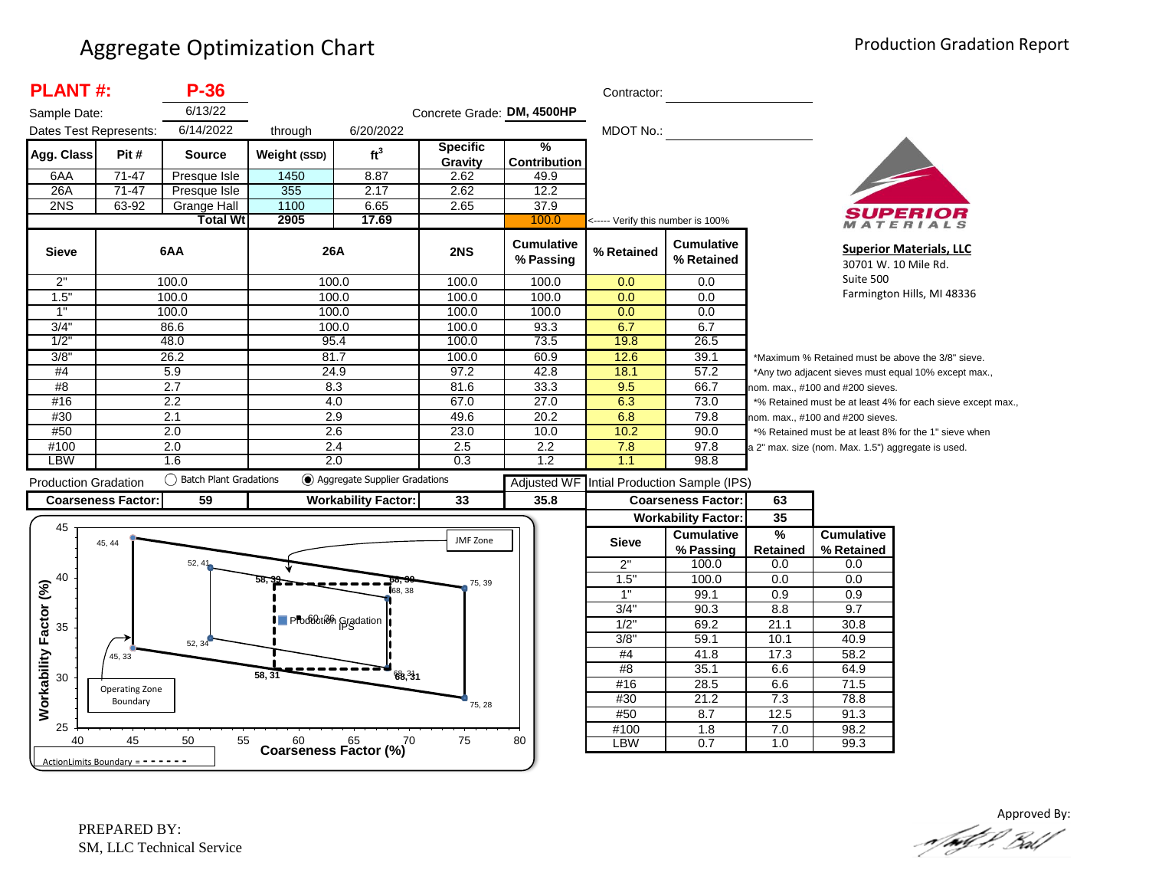| <b>PLANT#:</b>                      |                            | $P-36$                 |                                      |                                 |                            |                                | Contractor:                       |                                 |                 |                                                    |                                                             |
|-------------------------------------|----------------------------|------------------------|--------------------------------------|---------------------------------|----------------------------|--------------------------------|-----------------------------------|---------------------------------|-----------------|----------------------------------------------------|-------------------------------------------------------------|
| Sample Date:                        |                            | 6/13/22                |                                      |                                 | Concrete Grade: DM, 4500HP |                                |                                   |                                 |                 |                                                    |                                                             |
| Dates Test Represents:              |                            | 6/14/2022              | through                              | 6/20/2022                       |                            |                                | MDOT No.:                         |                                 |                 |                                                    |                                                             |
| Agg. Class                          | Pit#                       | <b>Source</b>          | Weight (SSD)                         | ft <sup>3</sup>                 | <b>Specific</b><br>Gravity | %<br><b>Contribution</b>       |                                   |                                 |                 |                                                    |                                                             |
| 6AA                                 | $71-47$                    | Presque Isle           | 1450                                 | 8.87                            | 2.62                       | 49.9                           |                                   |                                 |                 |                                                    |                                                             |
| 26A                                 | $71-47$                    | Presque Isle           | 355                                  | 2.17                            | 2.62                       | 12.2                           |                                   |                                 |                 |                                                    |                                                             |
| 2NS                                 | 63-92                      | <b>Grange Hall</b>     | 1100                                 | 6.65                            | 2.65                       | 37.9                           |                                   |                                 |                 |                                                    |                                                             |
|                                     |                            | <b>Total Wt</b>        | 2905                                 | 17.69                           |                            | 100.0                          | <----- Verify this number is 100% |                                 |                 |                                                    | ATERIALS                                                    |
| <b>Sieve</b>                        |                            | 6AA                    | 26A                                  |                                 | 2NS                        | <b>Cumulative</b><br>% Passing | % Retained                        | <b>Cumulative</b><br>% Retained |                 |                                                    | <b>Superior Materials, LLC</b><br>30701 W. 10 Mile Rd.      |
| 2"                                  |                            | 100.0                  |                                      | 100.0                           | 100.0                      | 100.0                          | 0.0                               | 0.0                             |                 | Suite 500                                          |                                                             |
| 1.5"                                |                            | 100.0                  | 100.0                                |                                 | 100.0                      | 100.0                          | 0.0                               | 0.0                             |                 |                                                    | Farmington Hills, MI 48336                                  |
| 1"                                  |                            | 100.0                  | 100.0                                |                                 | 100.0                      | 100.0                          | 0.0                               | 0.0                             |                 |                                                    |                                                             |
| 3/4"                                |                            | 86.6                   | 100.0                                |                                 | 100.0                      | 93.3                           | 6.7                               | 6.7                             |                 |                                                    |                                                             |
| 1/2"                                |                            | 48.0                   |                                      | 95.4                            | 100.0                      | 73.5                           | 19.8                              | 26.5                            |                 |                                                    |                                                             |
| 3/8"                                |                            | 26.2                   | 81.7                                 |                                 | 100.0                      | 60.9                           | 12.6                              | 39.1                            |                 |                                                    | *Maximum % Retained must be above the 3/8" sieve.           |
| #4                                  |                            | 5.9                    |                                      | 24.9                            | 97.2                       | 42.8                           | 18.1                              | 57.2                            |                 |                                                    | *Any two adjacent sieves must equal 10% except max.,        |
| #8                                  |                            | 2.7                    | 8.3                                  |                                 | 81.6                       | 33.3                           | 9.5                               | 66.7                            |                 | nom. max., #100 and #200 sieves.                   |                                                             |
| #16                                 |                            | 2.2                    |                                      | 4.0                             | 67.0                       | 27.0                           | 6.3                               | 73.0                            |                 |                                                    | *% Retained must be at least 4% for each sieve except max., |
| #30                                 |                            | 2.1                    | 2.9                                  |                                 | 49.6                       | 20.2                           | 6.8                               | 79.8                            |                 | nom. max., #100 and #200 sieves.                   |                                                             |
| #50                                 |                            | 2.0                    | 2.6                                  |                                 | 23.0                       | 10.0                           | 10.2                              | 90.0                            |                 |                                                    | *% Retained must be at least 8% for the 1" sieve when       |
| #100                                |                            | 2.0                    |                                      | 2.4                             | 2.5                        | 2.2                            | 7.8                               | 97.8                            |                 | a 2" max. size (nom. Max. 1.5") aggregate is used. |                                                             |
| <b>LBW</b>                          |                            | 1.6                    |                                      | 2.0                             | 0.3                        | 1.2                            | 1.1                               | 98.8                            |                 |                                                    |                                                             |
| <b>Production Gradation</b>         |                            | Batch Plant Gradations |                                      | ◯ Aggregate Supplier Gradations |                            | <b>Adjusted WF</b>             |                                   | Intial Production Sample (IPS)  |                 |                                                    |                                                             |
|                                     | <b>Coarseness Factor:</b>  | 59                     |                                      | <b>Workability Factor:</b>      | 33                         | 35.8                           |                                   | <b>Coarseness Factor:</b>       | 63              |                                                    |                                                             |
|                                     |                            |                        |                                      |                                 |                            |                                |                                   | <b>Workability Factor:</b>      | 35              |                                                    |                                                             |
| 45                                  |                            |                        |                                      |                                 |                            |                                |                                   | <b>Cumulative</b>               | %               | <b>Cumulative</b>                                  |                                                             |
|                                     | 45, 44                     |                        |                                      |                                 | JMF Zone                   |                                | <b>Sieve</b>                      | % Passing                       | <b>Retained</b> | % Retained                                         |                                                             |
|                                     |                            | $52, 4^{\circ}$        |                                      |                                 |                            |                                | 2"                                | 100.0                           | 0.0             | 0.0                                                |                                                             |
| 40                                  |                            |                        |                                      |                                 |                            |                                | 1.5                               | 100.0                           | 0.0             | 0.0                                                |                                                             |
|                                     |                            |                        |                                      | 68.38                           | 75, 39                     |                                | 1"                                | 99.1                            | 0.9             | 0.9                                                |                                                             |
|                                     |                            |                        |                                      |                                 |                            |                                | 3/4"                              | 90.3                            | 8.8             | 9.7                                                |                                                             |
|                                     |                            |                        | Production Gradation                 |                                 |                            |                                | 1/2"                              | 69.2                            | 21.1            | 30.8                                               |                                                             |
| 35                                  |                            |                        |                                      |                                 |                            |                                | 3/8"                              | 59.1                            | 10.1            | 40.9                                               |                                                             |
|                                     | 45, 33                     | 52, 34                 |                                      |                                 |                            |                                | #4                                | 41.8                            | 17.3            | 58.2                                               |                                                             |
| Workability Factor (%)              |                            |                        |                                      |                                 |                            |                                | #8                                | 35.1                            | 6.6             | 64.9                                               |                                                             |
| 30                                  |                            |                        | 58.31                                | 68.31                           |                            |                                | #16                               | 28.5                            | 6.6             | 71.5                                               |                                                             |
|                                     | Operating Zone<br>Boundary |                        |                                      |                                 |                            |                                | #30                               | 21.2                            | 7.3             | 78.8                                               |                                                             |
|                                     |                            |                        |                                      |                                 | 75, 28                     |                                | #50                               | 8.7                             | 12.5            | 91.3                                               |                                                             |
| 25                                  |                            |                        |                                      |                                 |                            |                                | #100                              | $\overline{1.8}$                | 7.0             | 98.2                                               |                                                             |
| 40                                  | 45                         | 50<br>55               | $60$ $65$ $65$ Coarseness Factor (%) | 70                              | 75                         | 80                             | <b>LBW</b>                        | 0.7                             | 1.0             | 99.3                                               |                                                             |
| ActionLimits Boundary = $- - - - -$ |                            |                        |                                      |                                 |                            |                                |                                   |                                 |                 |                                                    |                                                             |

Approved By: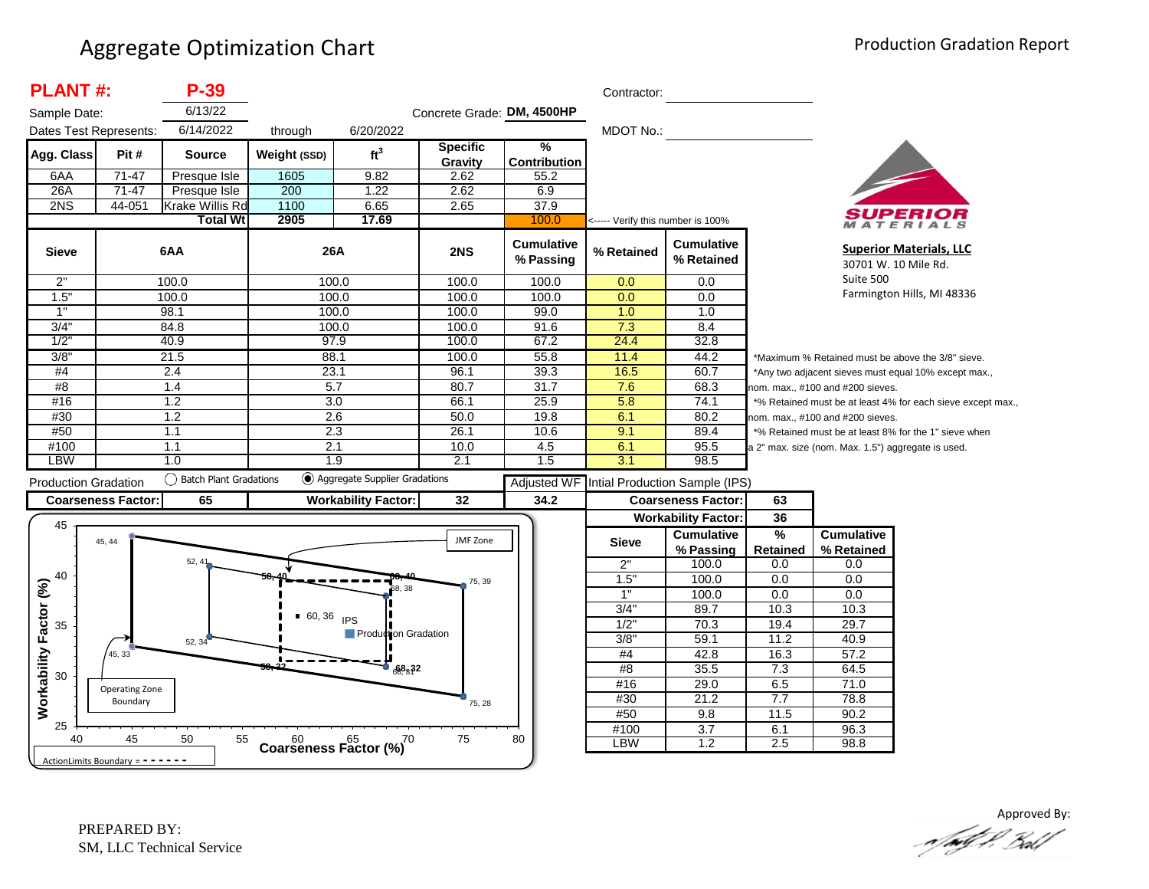| <b>PLANT#:</b>                    |                           | P-39                      |                                         |                                   |                            |                                | Contractor:                       |                                            |                 |                                                    |                                                             |
|-----------------------------------|---------------------------|---------------------------|-----------------------------------------|-----------------------------------|----------------------------|--------------------------------|-----------------------------------|--------------------------------------------|-----------------|----------------------------------------------------|-------------------------------------------------------------|
| Sample Date:                      |                           | 6/13/22                   |                                         |                                   | Concrete Grade: DM, 4500HP |                                |                                   |                                            |                 |                                                    |                                                             |
| Dates Test Represents:            |                           | 6/14/2022                 | through                                 | 6/20/2022                         |                            |                                | MDOT No.:                         |                                            |                 |                                                    |                                                             |
| Agg. Class                        | Pit #                     | <b>Source</b>             | Weight (SSD)                            | ft <sup>3</sup>                   | <b>Specific</b><br>Gravity | %<br><b>Contribution</b>       |                                   |                                            |                 |                                                    |                                                             |
| 6AA                               | 71-47                     | Presque Isle              | 1605                                    | 9.82                              | 2.62                       | 55.2                           |                                   |                                            |                 |                                                    |                                                             |
| 26A                               | $71-47$                   | Presque Isle              | 200                                     | 1.22                              | 2.62                       | 6.9                            |                                   |                                            |                 |                                                    |                                                             |
| 2NS                               | 44-051                    | Krake Willis Rd           | 1100                                    | 6.65                              | 2.65                       | 37.9                           |                                   |                                            |                 |                                                    |                                                             |
|                                   |                           | <b>Total Wt</b>           | 2905                                    | 17.69                             |                            | 100.0                          | <----- Verify this number is 100% |                                            |                 |                                                    | ATERIALS                                                    |
| <b>Sieve</b>                      |                           | 6AA                       | <b>26A</b>                              |                                   | 2NS                        | <b>Cumulative</b><br>% Passing | % Retained                        | <b>Cumulative</b><br>% Retained            |                 |                                                    | <b>Superior Materials, LLC</b><br>30701 W. 10 Mile Rd.      |
| 2"                                |                           | 100.0                     | 100.0                                   |                                   | 100.0                      | 100.0                          | 0.0                               | 0.0                                        |                 | Suite 500                                          |                                                             |
| 1.5"                              |                           | 100.0                     | 100.0                                   |                                   | 100.0                      | 100.0                          | 0.0                               | 0.0                                        |                 |                                                    | Farmington Hills, MI 48336                                  |
| 1"                                |                           | 98.1                      | 100.0                                   |                                   | 100.0                      | 99.0                           | 1.0                               | 1.0                                        |                 |                                                    |                                                             |
| 3/4'                              |                           | 84.8                      | 100.0                                   |                                   | 100.0                      | 91.6                           | 7.3                               | 8.4                                        |                 |                                                    |                                                             |
| 1/2                               |                           | 40.9                      | 97.9                                    |                                   | 100.0                      | 67.2                           | 24.4                              | 32.8                                       |                 |                                                    |                                                             |
| 3/8'                              |                           | 21.5                      | 88.1                                    |                                   | 100.0                      | 55.8                           | 11.4                              | 44.2                                       |                 |                                                    | *Maximum % Retained must be above the 3/8" sieve.           |
| #4                                |                           | 2.4                       | 23.1                                    |                                   | 96.1                       | 39.3                           | 16.5                              | 60.7                                       |                 |                                                    | *Any two adjacent sieves must equal 10% except max.,        |
| #8                                |                           | 1.4                       | 5.7                                     |                                   | 80.7                       | 31.7                           | 7.6                               | 68.3                                       |                 | nom. max., #100 and #200 sieves.                   |                                                             |
| #16                               |                           | 1.2                       | 3.0                                     |                                   | 66.1                       | 25.9                           | 5.8                               | 74.1                                       |                 |                                                    | *% Retained must be at least 4% for each sieve except max., |
| #30                               |                           | 1.2                       | 2.6                                     |                                   | 50.0                       | 19.8                           | 6.1                               | 80.2                                       |                 | nom. max., #100 and #200 sieves.                   |                                                             |
| #50                               |                           | 1.1                       | 2.3                                     |                                   | 26.1                       | 10.6                           | 9.1                               | 89.4                                       |                 |                                                    | *% Retained must be at least 8% for the 1" sieve when       |
| #100                              |                           | 1.1                       | 2.1                                     |                                   | 10.0                       | 4.5                            | 6.1                               | 95.5                                       |                 | a 2" max. size (nom. Max. 1.5") aggregate is used. |                                                             |
| LBW                               |                           | 1.0                       | 1.9                                     |                                   | 2.1                        | 1.5                            | 3.1                               | 98.5                                       |                 |                                                    |                                                             |
| <b>Production Gradation</b>       |                           | () Batch Plant Gradations |                                         | (c) Aggregate Supplier Gradations |                            |                                |                                   | Adjusted WF Intial Production Sample (IPS) |                 |                                                    |                                                             |
|                                   | <b>Coarseness Factor:</b> | 65                        |                                         | <b>Workability Factor:</b>        | 32                         | 34.2                           |                                   | <b>Coarseness Factor:</b>                  | 63              |                                                    |                                                             |
|                                   |                           |                           |                                         |                                   |                            |                                |                                   | <b>Workability Factor:</b>                 | 36              |                                                    |                                                             |
| 45                                |                           |                           |                                         |                                   | JMF Zone                   |                                |                                   | <b>Cumulative</b>                          | $\frac{9}{6}$   | <b>Cumulative</b>                                  |                                                             |
|                                   | 45, 44                    |                           |                                         |                                   |                            |                                | <b>Sieve</b>                      | % Passing                                  | <b>Retained</b> | % Retained                                         |                                                             |
|                                   |                           | 52, 41                    |                                         |                                   |                            |                                | 2"                                | 100.0                                      | 0.0             | 0.0                                                |                                                             |
| 40                                |                           |                           |                                         |                                   | 75, 39                     |                                | 1.5"                              | 100.0                                      | 0.0             | 0.0                                                |                                                             |
|                                   |                           |                           |                                         | 38.38                             |                            |                                | 1"                                | 100.0                                      | 0.0             | 0.0                                                |                                                             |
|                                   |                           |                           | $60, 36$ IPS                            |                                   |                            |                                | 3/4'                              | 89.7                                       | 10.3            | 10.3                                               |                                                             |
| 35                                |                           |                           |                                         |                                   |                            |                                | $1/2$ "                           | 70.3                                       | 19.4            | 29.7                                               |                                                             |
|                                   |                           | 52, 34                    |                                         | Production Gradation              |                            |                                | 3/8"                              | 59.1                                       | 11.2            | 40.9                                               |                                                             |
|                                   | 45, 33                    |                           |                                         |                                   |                            |                                | #4                                | 42.8                                       | 16.3            | 57.2                                               |                                                             |
| Workability Factor (%)<br>30      |                           |                           |                                         | $\sqrt{68.32}$                    |                            |                                | #8                                | 35.5                                       | 7.3             | 64.5                                               |                                                             |
|                                   | Operating Zone            |                           |                                         |                                   |                            |                                | #16                               | 29.0                                       | 6.5             | 71.0                                               |                                                             |
|                                   | Boundary                  |                           |                                         |                                   | 75, 28                     |                                | #30                               | 21.2                                       | 7.7             | 78.8                                               |                                                             |
|                                   |                           |                           |                                         |                                   |                            |                                | #50                               | 9.8                                        | 11.5            | 90.2                                               |                                                             |
| 25                                |                           |                           |                                         |                                   |                            |                                | #100                              | $\overline{3.7}$                           | 6.1             | 96.3                                               |                                                             |
| 40                                | 45                        | 50<br>55                  | $60^{60}_{\text{Coarseness Factor}$ (%) | 70                                | 75                         | 80                             | <b>LBW</b>                        | 1.2                                        | 2.5             | 98.8                                               |                                                             |
| ActionLimits Boundary = - - - - - |                           |                           |                                         |                                   |                            |                                |                                   |                                            |                 |                                                    |                                                             |

Approved By:<br>Approved By: